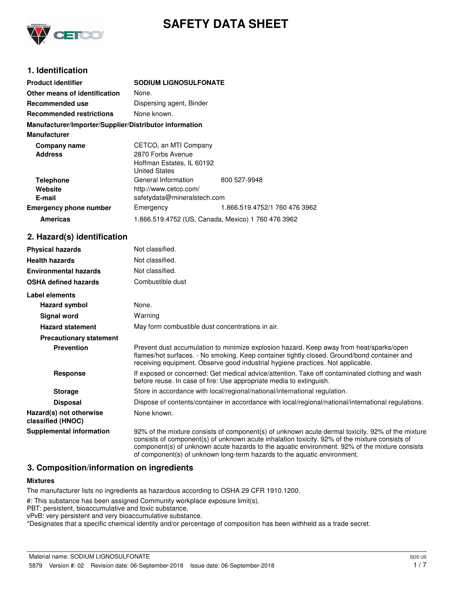

# **SAFETY DATA SHEET**

# **1. Identification**

| <b>Product identifier</b>                              | <b>SODIUM LIGNOSULFONATE</b>                                                                    |                               |
|--------------------------------------------------------|-------------------------------------------------------------------------------------------------|-------------------------------|
| Other means of identification                          | None.                                                                                           |                               |
| Recommended use                                        | Dispersing agent, Binder                                                                        |                               |
| <b>Recommended restrictions</b>                        | None known.                                                                                     |                               |
| Manufacturer/Importer/Supplier/Distributor information |                                                                                                 |                               |
| <b>Manufacturer</b>                                    |                                                                                                 |                               |
| Company name<br><b>Address</b>                         | CETCO, an MTI Company<br>2870 Forbs Avenue<br>Hoffman Estates, IL 60192<br><b>United States</b> |                               |
| <b>Telephone</b><br>Website<br>E-mail                  | General Information<br>http://www.cetco.com/<br>safetydata@mineralstech.com                     | 800 527-9948                  |
| <b>Emergency phone number</b>                          | Emergency                                                                                       | 1.866.519.4752/1 760 476 3962 |
| <b>Americas</b>                                        | 1.866.519.4752 (US, Canada, Mexico) 1 760 476 3962                                              |                               |

# **2. Hazard(s) identification**

| <b>Physical hazards</b>                      | Not classified.                                                                                                                                                                                                                                                                                                                                                                |
|----------------------------------------------|--------------------------------------------------------------------------------------------------------------------------------------------------------------------------------------------------------------------------------------------------------------------------------------------------------------------------------------------------------------------------------|
| <b>Health hazards</b>                        | Not classified.                                                                                                                                                                                                                                                                                                                                                                |
| <b>Environmental hazards</b>                 | Not classified.                                                                                                                                                                                                                                                                                                                                                                |
| <b>OSHA defined hazards</b>                  | Combustible dust                                                                                                                                                                                                                                                                                                                                                               |
| Label elements                               |                                                                                                                                                                                                                                                                                                                                                                                |
| <b>Hazard symbol</b>                         | None.                                                                                                                                                                                                                                                                                                                                                                          |
| Signal word                                  | Warning                                                                                                                                                                                                                                                                                                                                                                        |
| <b>Hazard statement</b>                      | May form combustible dust concentrations in air.                                                                                                                                                                                                                                                                                                                               |
| <b>Precautionary statement</b>               |                                                                                                                                                                                                                                                                                                                                                                                |
| <b>Prevention</b>                            | Prevent dust accumulation to minimize explosion hazard. Keep away from heat/sparks/open<br>flames/hot surfaces. - No smoking. Keep container tightly closed. Ground/bond container and<br>receiving equipment. Observe good industrial hygiene practices. Not applicable.                                                                                                      |
| <b>Response</b>                              | If exposed or concerned: Get medical advice/attention. Take off contaminated clothing and wash<br>before reuse. In case of fire: Use appropriate media to extinguish.                                                                                                                                                                                                          |
| <b>Storage</b>                               | Store in accordance with local/regional/national/international regulation.                                                                                                                                                                                                                                                                                                     |
| <b>Disposal</b>                              | Dispose of contents/container in accordance with local/regional/national/international regulations.                                                                                                                                                                                                                                                                            |
| Hazard(s) not otherwise<br>classified (HNOC) | None known.                                                                                                                                                                                                                                                                                                                                                                    |
| <b>Supplemental information</b>              | 92% of the mixture consists of component(s) of unknown acute dermal toxicity. 92% of the mixture<br>consists of component(s) of unknown acute inhalation toxicity. 92% of the mixture consists of<br>component(s) of unknown acute hazards to the aquatic environment. 92% of the mixture consists<br>of component(s) of unknown long-term hazards to the aquatic environment. |

### **3. Composition/information on ingredients**

### **Mixtures**

The manufacturer lists no ingredients as hazardous according to OSHA 29 CFR 1910.1200.

#: This substance has been assigned Community workplace exposure limit(s).

PBT: persistent, bioaccumulative and toxic substance.

vPvB: very persistent and very bioaccumulative substance.

\*Designates that a specific chemical identity and/or percentage of composition has been withheld as a trade secret.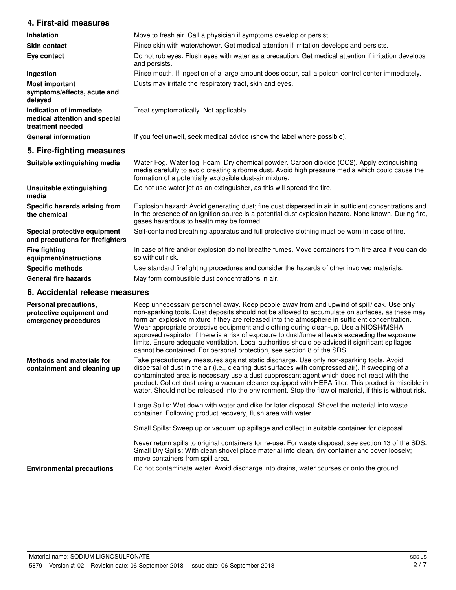# **4. First-aid measures**

| 4. First-aid measures                                                        |                                                                                                                                                                                                                                                           |
|------------------------------------------------------------------------------|-----------------------------------------------------------------------------------------------------------------------------------------------------------------------------------------------------------------------------------------------------------|
| <b>Inhalation</b>                                                            | Move to fresh air. Call a physician if symptoms develop or persist.                                                                                                                                                                                       |
| <b>Skin contact</b>                                                          | Rinse skin with water/shower. Get medical attention if irritation develops and persists.                                                                                                                                                                  |
| Eye contact                                                                  | Do not rub eyes. Flush eyes with water as a precaution. Get medical attention if irritation develops<br>and persists.                                                                                                                                     |
| Ingestion                                                                    | Rinse mouth. If ingestion of a large amount does occur, call a poison control center immediately.                                                                                                                                                         |
| <b>Most important</b><br>symptoms/effects, acute and<br>delayed              | Dusts may irritate the respiratory tract, skin and eyes.                                                                                                                                                                                                  |
| Indication of immediate<br>medical attention and special<br>treatment needed | Treat symptomatically. Not applicable.                                                                                                                                                                                                                    |
| <b>General information</b>                                                   | If you feel unwell, seek medical advice (show the label where possible).                                                                                                                                                                                  |
| 5. Fire-fighting measures                                                    |                                                                                                                                                                                                                                                           |
| Suitable extinguishing media                                                 | Water Fog. Water fog. Foam. Dry chemical powder. Carbon dioxide (CO2). Apply extinguishing<br>media carefully to avoid creating airborne dust. Avoid high pressure media which could cause the<br>formation of a potentially explosible dust-air mixture. |
| Unsuitable extinguishing<br>media                                            | Do not use water jet as an extinguisher, as this will spread the fire.                                                                                                                                                                                    |
| Specific hazards arising from<br>the chemical                                | Explosion hazard: Avoid generating dust; fine dust dispersed in air in sufficient concentrations and<br>in the presence of an ignition source is a potential dust explosion hazard. None known. During fire,<br>gases hazardous to health may be formed.  |
| Special protective equipment<br>and precautions for firefighters             | Self-contained breathing apparatus and full protective clothing must be worn in case of fire.                                                                                                                                                             |
| <b>Fire fighting</b><br>equipment/instructions                               | In case of fire and/or explosion do not breathe fumes. Move containers from fire area if you can do<br>so without risk.                                                                                                                                   |
| <b>Specific methods</b>                                                      | Use standard firefighting procedures and consider the hazards of other involved materials.                                                                                                                                                                |
| <b>General fire hazards</b>                                                  | May form combustible dust concentrations in air.                                                                                                                                                                                                          |

### **6. Accidental release measures**

| Personal precautions,<br>protective equipment and<br>emergency procedures | Keep unnecessary personnel away. Keep people away from and upwind of spill/leak. Use only<br>non-sparking tools. Dust deposits should not be allowed to accumulate on surfaces, as these may<br>form an explosive mixture if they are released into the atmosphere in sufficient concentration.<br>Wear appropriate protective equipment and clothing during clean-up. Use a NIOSH/MSHA<br>approved respirator if there is a risk of exposure to dust/fume at levels exceeding the exposure<br>limits. Ensure adequate ventilation. Local authorities should be advised if significant spillages<br>cannot be contained. For personal protection, see section 8 of the SDS. |
|---------------------------------------------------------------------------|-----------------------------------------------------------------------------------------------------------------------------------------------------------------------------------------------------------------------------------------------------------------------------------------------------------------------------------------------------------------------------------------------------------------------------------------------------------------------------------------------------------------------------------------------------------------------------------------------------------------------------------------------------------------------------|
| <b>Methods and materials for</b><br>containment and cleaning up           | Take precautionary measures against static discharge. Use only non-sparking tools. Avoid<br>dispersal of dust in the air (i.e., clearing dust surfaces with compressed air). If sweeping of a<br>contaminated area is necessary use a dust suppressant agent which does not react with the<br>product. Collect dust using a vacuum cleaner equipped with HEPA filter. This product is miscible in<br>water. Should not be released into the environment. Stop the flow of material, if this is without risk.                                                                                                                                                                |
|                                                                           | Large Spills: Wet down with water and dike for later disposal. Shovel the material into waste<br>container. Following product recovery, flush area with water.                                                                                                                                                                                                                                                                                                                                                                                                                                                                                                              |
|                                                                           | Small Spills: Sweep up or vacuum up spillage and collect in suitable container for disposal.                                                                                                                                                                                                                                                                                                                                                                                                                                                                                                                                                                                |
|                                                                           | Never return spills to original containers for re-use. For waste disposal, see section 13 of the SDS.<br>Small Dry Spills: With clean shovel place material into clean, dry container and cover loosely;<br>move containers from spill area.                                                                                                                                                                                                                                                                                                                                                                                                                                |
| <b>Environmental precautions</b>                                          | Do not contaminate water. Avoid discharge into drains, water courses or onto the ground.                                                                                                                                                                                                                                                                                                                                                                                                                                                                                                                                                                                    |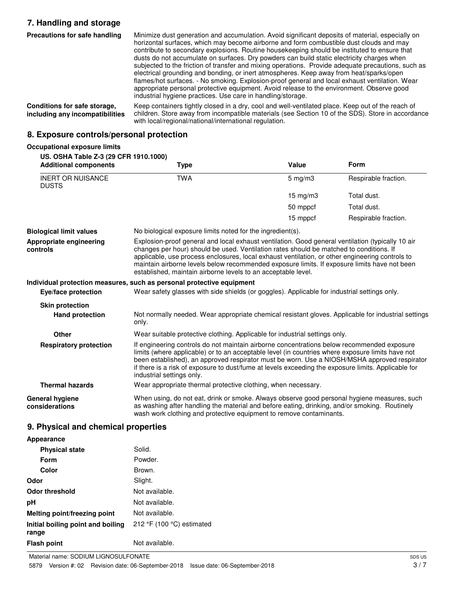# **7. Handling and storage**

Minimize dust generation and accumulation. Avoid significant deposits of material, especially on horizontal surfaces, which may become airborne and form combustible dust clouds and may contribute to secondary explosions. Routine housekeeping should be instituted to ensure that dusts do not accumulate on surfaces. Dry powders can build static electricity charges when subjected to the friction of transfer and mixing operations. Provide adequate precautions, such as electrical grounding and bonding, or inert atmospheres. Keep away from heat/sparks/open flames/hot surfaces. - No smoking. Explosion-proof general and local exhaust ventilation. Wear appropriate personal protective equipment. Avoid release to the environment. Observe good industrial hygiene practices. Use care in handling/storage. **Precautions for safe handling** Keep containers tightly closed in a dry, cool and well-ventilated place. Keep out of the reach of children. Store away from incompatible materials (see Section 10 of the SDS). Store in accordance **Conditions for safe storage, including any incompatibilities**

with local/regional/national/international regulation.

### **8. Exposure controls/personal protection**

#### **Occupational exposure limits**

| <b>Additional components</b>                     | Type                                                                                                                                                                                                                                                                                                                                                                                                                                                             | Value               | <b>Form</b>          |
|--------------------------------------------------|------------------------------------------------------------------------------------------------------------------------------------------------------------------------------------------------------------------------------------------------------------------------------------------------------------------------------------------------------------------------------------------------------------------------------------------------------------------|---------------------|----------------------|
| <b>INERT OR NUISANCE</b><br><b>DUSTS</b>         | <b>TWA</b>                                                                                                                                                                                                                                                                                                                                                                                                                                                       | $5 \text{ mg/m}$ 3  | Respirable fraction. |
|                                                  |                                                                                                                                                                                                                                                                                                                                                                                                                                                                  | $15 \text{ mg/m}$ 3 | Total dust.          |
|                                                  |                                                                                                                                                                                                                                                                                                                                                                                                                                                                  | 50 mppcf            | Total dust.          |
|                                                  |                                                                                                                                                                                                                                                                                                                                                                                                                                                                  | 15 mppcf            | Respirable fraction. |
| <b>Biological limit values</b>                   | No biological exposure limits noted for the ingredient(s).                                                                                                                                                                                                                                                                                                                                                                                                       |                     |                      |
| Appropriate engineering<br>controls              | Explosion-proof general and local exhaust ventilation. Good general ventilation (typically 10 air<br>changes per hour) should be used. Ventilation rates should be matched to conditions. If<br>applicable, use process enclosures, local exhaust ventilation, or other engineering controls to<br>maintain airborne levels below recommended exposure limits. If exposure limits have not been<br>established, maintain airborne levels to an acceptable level. |                     |                      |
| Eye/face protection                              | Individual protection measures, such as personal protective equipment<br>Wear safety glasses with side shields (or goggles). Applicable for industrial settings only.                                                                                                                                                                                                                                                                                            |                     |                      |
| <b>Skin protection</b><br><b>Hand protection</b> | Not normally needed. Wear appropriate chemical resistant gloves. Applicable for industrial settings<br>only.                                                                                                                                                                                                                                                                                                                                                     |                     |                      |
| <b>Other</b>                                     | Wear suitable protective clothing. Applicable for industrial settings only.                                                                                                                                                                                                                                                                                                                                                                                      |                     |                      |
| <b>Respiratory protection</b>                    | If engineering controls do not maintain airborne concentrations below recommended exposure<br>limits (where applicable) or to an acceptable level (in countries where exposure limits have not<br>been established), an approved respirator must be worn. Use a NIOSH/MSHA approved respirator<br>if there is a risk of exposure to dust/fume at levels exceeding the exposure limits. Applicable for<br>industrial settings only.                               |                     |                      |
| <b>Thermal hazards</b>                           | Wear appropriate thermal protective clothing, when necessary.                                                                                                                                                                                                                                                                                                                                                                                                    |                     |                      |
| <b>General hygiene</b><br>considerations         | When using, do not eat, drink or smoke. Always observe good personal hygiene measures, such<br>as washing after handling the material and before eating, drinking, and/or smoking. Routinely<br>wash work clothing and protective equipment to remove contaminants.                                                                                                                                                                                              |                     |                      |

### **9. Physical and chemical properties**

| Appearance                                 |                           |
|--------------------------------------------|---------------------------|
| <b>Physical state</b>                      | Solid.                    |
| Form                                       | Powder.                   |
| Color                                      | Brown.                    |
| Odor                                       | Slight.                   |
| Odor threshold                             | Not available.            |
| рH                                         | Not available.            |
| Melting point/freezing point               | Not available.            |
| Initial boiling point and boiling<br>range | 212 °F (100 °C) estimated |
| <b>Flash point</b>                         | Not available.            |
|                                            |                           |

Material name: SODIUM LIGNOSULFONATE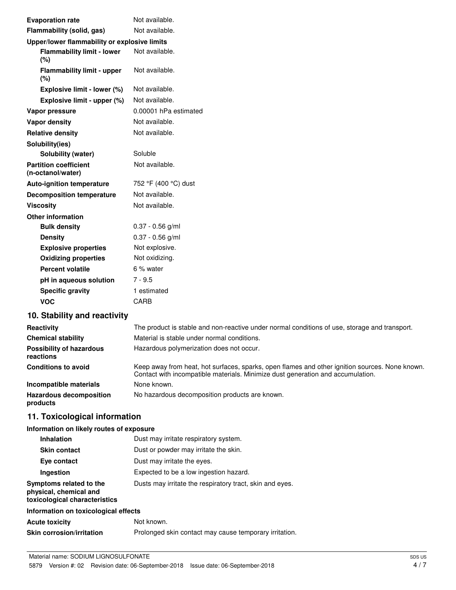| <b>Evaporation rate</b>                           | Not available.        |
|---------------------------------------------------|-----------------------|
| Flammability (solid, gas)                         | Not available.        |
| Upper/lower flammability or explosive limits      |                       |
| <b>Flammability limit - lower</b><br>(%)          | Not available.        |
| <b>Flammability limit - upper</b><br>(%)          | Not available.        |
| Explosive limit - lower (%)                       | Not available.        |
| Explosive limit - upper (%)                       | Not available.        |
| Vapor pressure                                    | 0.00001 hPa estimated |
| <b>Vapor density</b>                              | Not available.        |
| <b>Relative density</b>                           | Not available.        |
| Solubility(ies)                                   |                       |
| Solubility (water)                                | Soluble               |
| <b>Partition coefficient</b><br>(n-octanol/water) | Not available.        |
| <b>Auto-ignition temperature</b>                  | 752 °F (400 °C) dust  |
| <b>Decomposition temperature</b>                  | Not available.        |
| <b>Viscosity</b>                                  | Not available.        |
| <b>Other information</b>                          |                       |
| <b>Bulk density</b>                               | $0.37 - 0.56$ g/ml    |
| <b>Density</b>                                    | $0.37 - 0.56$ g/ml    |
| <b>Explosive properties</b>                       | Not explosive.        |
| <b>Oxidizing properties</b>                       | Not oxidizing.        |
| <b>Percent volatile</b>                           | 6 % water             |
| pH in aqueous solution                            | $7 - 9.5$             |
| <b>Specific gravity</b>                           | 1 estimated           |
| <b>VOC</b>                                        | CARB                  |
|                                                   |                       |

# **10. Stability and reactivity**

| Reactivity                                   | The product is stable and non-reactive under normal conditions of use, storage and transport.                                                                                     |
|----------------------------------------------|-----------------------------------------------------------------------------------------------------------------------------------------------------------------------------------|
| <b>Chemical stability</b>                    | Material is stable under normal conditions.                                                                                                                                       |
| <b>Possibility of hazardous</b><br>reactions | Hazardous polymerization does not occur.                                                                                                                                          |
| <b>Conditions to avoid</b>                   | Keep away from heat, hot surfaces, sparks, open flames and other ignition sources. None known.<br>Contact with incompatible materials. Minimize dust generation and accumulation. |
| Incompatible materials                       | None known.                                                                                                                                                                       |
| <b>Hazardous decomposition</b><br>products   | No hazardous decomposition products are known.                                                                                                                                    |

# **11. Toxicological information**

# **Information on likely routes of exposure**

| <b>Inhalation</b>                                                                  | Dust may irritate respiratory system.                    |
|------------------------------------------------------------------------------------|----------------------------------------------------------|
| <b>Skin contact</b>                                                                | Dust or powder may irritate the skin.                    |
| Eye contact                                                                        | Dust may irritate the eyes.                              |
| Ingestion                                                                          | Expected to be a low ingestion hazard.                   |
| Symptoms related to the<br>physical, chemical and<br>toxicological characteristics | Dusts may irritate the respiratory tract, skin and eyes. |
| Information on toxicological effects                                               |                                                          |
| Acute toxicitv                                                                     | Not known.                                               |
| Skin corrosion/irritation                                                          | Prolonged skin contact may cause temporary irritation.   |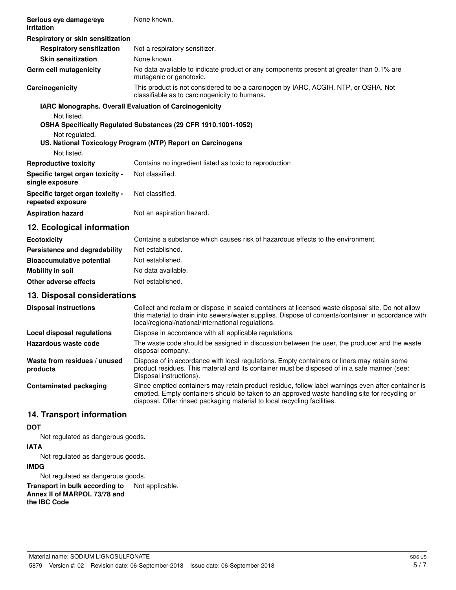| Serious eye damage/eye<br>irritation                  | None known.                                                                                                                          |
|-------------------------------------------------------|--------------------------------------------------------------------------------------------------------------------------------------|
| Respiratory or skin sensitization                     |                                                                                                                                      |
| <b>Respiratory sensitization</b>                      | Not a respiratory sensitizer.                                                                                                        |
| <b>Skin sensitization</b>                             | None known.                                                                                                                          |
| Germ cell mutagenicity                                | No data available to indicate product or any components present at greater than 0.1% are<br>mutagenic or genotoxic.                  |
| Carcinogenicity                                       | This product is not considered to be a carcinogen by IARC, ACGIH, NTP, or OSHA. Not<br>classifiable as to carcinogenicity to humans. |
|                                                       | <b>IARC Monographs. Overall Evaluation of Carcinogenicity</b>                                                                        |
| Not listed.                                           |                                                                                                                                      |
|                                                       | OSHA Specifically Regulated Substances (29 CFR 1910.1001-1052)                                                                       |
| Not regulated.                                        |                                                                                                                                      |
|                                                       | US. National Toxicology Program (NTP) Report on Carcinogens                                                                          |
| Not listed.                                           |                                                                                                                                      |
| <b>Reproductive toxicity</b>                          | Contains no ingredient listed as toxic to reproduction                                                                               |
| Specific target organ toxicity -<br>single exposure   | Not classified.                                                                                                                      |
| Specific target organ toxicity -<br>repeated exposure | Not classified.                                                                                                                      |
| <b>Aspiration hazard</b>                              | Not an aspiration hazard.                                                                                                            |
| 12. Ecological information                            |                                                                                                                                      |

| <b>Ecotoxicity</b>               | Contains a substance which causes risk of hazardous effects to the environment. |
|----------------------------------|---------------------------------------------------------------------------------|
| Persistence and degradability    | Not established.                                                                |
| <b>Bioaccumulative potential</b> | Not established.                                                                |
| Mobility in soil                 | No data available.                                                              |
| Other adverse effects            | Not established.                                                                |

# **13. Disposal considerations**

| <b>Disposal instructions</b>             | Collect and reclaim or dispose in sealed containers at licensed waste disposal site. Do not allow<br>this material to drain into sewers/water supplies. Dispose of contents/container in accordance with<br>local/regional/national/international regulations.                  |
|------------------------------------------|---------------------------------------------------------------------------------------------------------------------------------------------------------------------------------------------------------------------------------------------------------------------------------|
| Local disposal regulations               | Dispose in accordance with all applicable regulations.                                                                                                                                                                                                                          |
| Hazardous waste code                     | The waste code should be assigned in discussion between the user, the producer and the waste<br>disposal company.                                                                                                                                                               |
| Waste from residues / unused<br>products | Dispose of in accordance with local regulations. Empty containers or liners may retain some<br>product residues. This material and its container must be disposed of in a safe manner (see:<br>Disposal instructions).                                                          |
| <b>Contaminated packaging</b>            | Since emptied containers may retain product residue, follow label warnings even after container is<br>emptied. Empty containers should be taken to an approved waste handling site for recycling or<br>disposal. Offer rinsed packaging material to local recycling facilities. |

# **14. Transport information**

### **DOT**

Not regulated as dangerous goods.

### **IATA**

Not regulated as dangerous goods.

### **IMDG**

Not regulated as dangerous goods.

**Transport in bulk according to** Not applicable. **Annex II of MARPOL 73/78 and the IBC Code**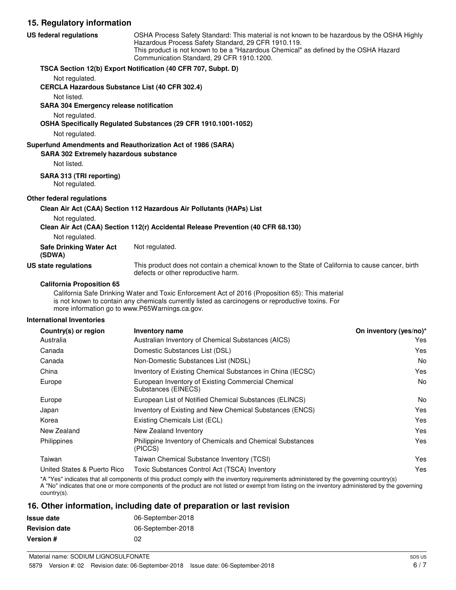# **15. Regulatory information**

| <b>US federal regulations</b>                                | OSHA Process Safety Standard: This material is not known to be hazardous by the OSHA Highly<br>Hazardous Process Safety Standard, 29 CFR 1910.119.<br>This product is not known to be a "Hazardous Chemical" as defined by the OSHA Hazard<br>Communication Standard, 29 CFR 1910.1200. |
|--------------------------------------------------------------|-----------------------------------------------------------------------------------------------------------------------------------------------------------------------------------------------------------------------------------------------------------------------------------------|
|                                                              | TSCA Section 12(b) Export Notification (40 CFR 707, Subpt. D)                                                                                                                                                                                                                           |
| Not regulated.                                               |                                                                                                                                                                                                                                                                                         |
| <b>CERCLA Hazardous Substance List (40 CFR 302.4)</b>        |                                                                                                                                                                                                                                                                                         |
| Not listed.                                                  |                                                                                                                                                                                                                                                                                         |
| <b>SARA 304 Emergency release notification</b>               |                                                                                                                                                                                                                                                                                         |
| Not regulated.                                               |                                                                                                                                                                                                                                                                                         |
|                                                              | OSHA Specifically Regulated Substances (29 CFR 1910.1001-1052)                                                                                                                                                                                                                          |
| Not regulated.                                               |                                                                                                                                                                                                                                                                                         |
| <b>SARA 302 Extremely hazardous substance</b><br>Not listed. | Superfund Amendments and Reauthorization Act of 1986 (SARA)                                                                                                                                                                                                                             |
| SARA 313 (TRI reporting)<br>Not regulated.                   |                                                                                                                                                                                                                                                                                         |
| Other federal regulations                                    |                                                                                                                                                                                                                                                                                         |
|                                                              | Clean Air Act (CAA) Section 112 Hazardous Air Pollutants (HAPs) List                                                                                                                                                                                                                    |
| Not regulated.                                               | Clean Air Act (CAA) Section 112(r) Accidental Release Prevention (40 CFR 68.130)                                                                                                                                                                                                        |
| Not regulated.                                               |                                                                                                                                                                                                                                                                                         |
| <b>Safe Drinking Water Act</b><br>(SDWA)                     | Not regulated.                                                                                                                                                                                                                                                                          |
| US state regulations                                         | This product does not contain a chemical known to the State of California to cause cancer, birth<br>defects or other reproductive harm.                                                                                                                                                 |
| <b>California Proposition 65</b>                             |                                                                                                                                                                                                                                                                                         |
|                                                              | California Cafe Drivilian Water and Tayle Enforcement Ast of 0010 (Drepasition CE): This meets del                                                                                                                                                                                      |

California Safe Drinking Water and Toxic Enforcement Act of 2016 (Proposition 65): This material is not known to contain any chemicals currently listed as carcinogens or reproductive toxins. For more information go to www.P65Warnings.ca.gov.

### **International Inventories**

| Country(s) or region        | <b>Inventory name</b>                                                     | On inventory (yes/no)* |
|-----------------------------|---------------------------------------------------------------------------|------------------------|
| Australia                   | Australian Inventory of Chemical Substances (AICS)                        | Yes.                   |
| Canada                      | Domestic Substances List (DSL)                                            | Yes                    |
| Canada                      | Non-Domestic Substances List (NDSL)                                       | No.                    |
| China                       | Inventory of Existing Chemical Substances in China (IECSC)                | Yes                    |
| Europe                      | European Inventory of Existing Commercial Chemical<br>Substances (EINECS) | No.                    |
| Europe                      | European List of Notified Chemical Substances (ELINCS)                    | No.                    |
| Japan                       | Inventory of Existing and New Chemical Substances (ENCS)                  | Yes                    |
| Korea                       | Existing Chemicals List (ECL)                                             | Yes                    |
| New Zealand                 | New Zealand Inventory                                                     | Yes                    |
| Philippines                 | Philippine Inventory of Chemicals and Chemical Substances<br>(PICCS)      | Yes                    |
| Taiwan                      | Taiwan Chemical Substance Inventory (TCSI)                                | Yes                    |
| United States & Puerto Rico | Toxic Substances Control Act (TSCA) Inventory                             | Yes                    |

\*A "Yes" indicates that all components of this product comply with the inventory requirements administered by the governing country(s) A "No" indicates that one or more components of the product are not listed or exempt from listing on the inventory administered by the governing country(s).

### **16. Other information, including date of preparation or last revision**

| <b>Issue date</b>    | 06-September-2018 |
|----------------------|-------------------|
| <b>Revision date</b> | 06-September-2018 |
| <b>Version #</b>     | 02                |